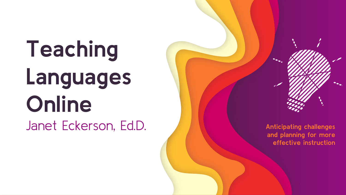Teaching Languages Online Janet Eckerson, Ed.D

. Anticipating challenges and planning for more effective instruction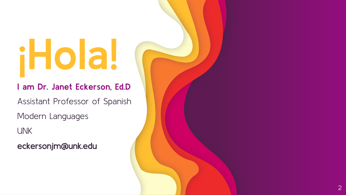# iHola!

I am Dr. Janet Eckerson, Ed.D

Assistant Professor of Spanish

Modern Languages

UNK

eckersonjm@unk.edu

2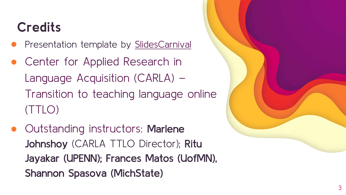## **Credits**

- Presentation template by [SlidesCarnival](http://www.slidescarnival.com/?utm_source=template)
- Center for Applied Research in Language Acquisition (CARLA) – Transition to teaching language online (TTLO)
- Outstanding instructors: Marlene Johnshoy (CARLA TTLO Director); Ritu Jayakar (UPENN); Frances Matos (UofMN), Shannon Spasova (MichState)

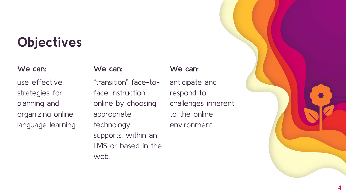## **Objectives**

#### We can:

use effective strategies for planning and organizing online language learning.

#### We can:

"transition" face-toface instruction online by choosing appropriate technology supports, within an LMS or based in the web.

#### We can:

anticipate and respond to challenges inherent to the online environment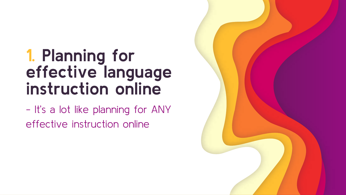## 1. Planning for effective language instruction online

- It's a lot like planning for ANY effective instruction online

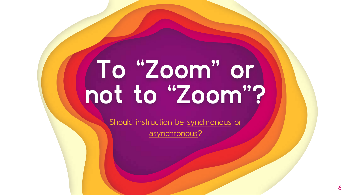## To "Zoom" or not to "Zoom"?

Should instruction be synchronous or

asynchronous?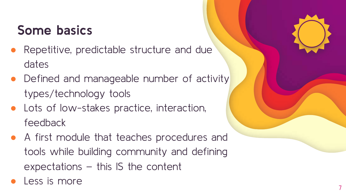## Some basics

- Repetitive, predictable structure and due dates
- Defined and manageable number of activity types/technology tools
- Lots of low-stakes practice, interaction, feedback
- A first module that teaches procedures and tools while building community and defining expectations – this IS the content
- Less is more

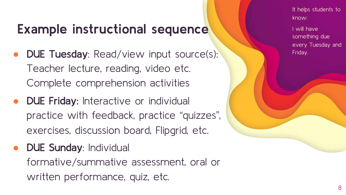## Example instructional sequence

- DUE Tuesday: Read/view input source(s): Teacher lecture, reading, video etc. Complete comprehension activities
- DUE Friday: Interactive or individual practice with feedback, practice "quizzes", exercises, discussion board, Flipgrid, etc.
- DUE Sunday: Individual formative/summative assessment, oral or written performance, quiz, etc.

It helps students to know:

I will have something due every Tuesday and Friday.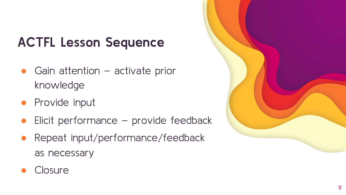## ACTFL Lesson Sequence

- $\bullet$  Gain attention activate prior knowledge
- Provide input
- Elicit performance  $-$  provide feedback
- Repeat input/performance/feedback as necessary



#### **Closure**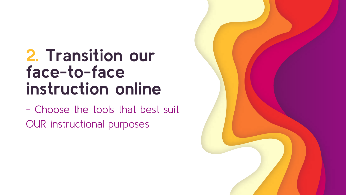## 2. Transition our face-to-face instruction online

- Choose the tools that best suit OUR instructional purposes

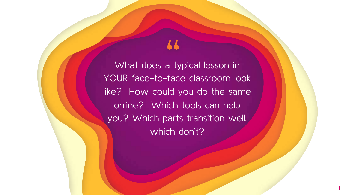What does a typical lesson in  $\frac{1}{100}$  a ty YOUR face-to-face classroom look like? How could you do the same online? Which tools can help you? Which parts transition well, which don't?

11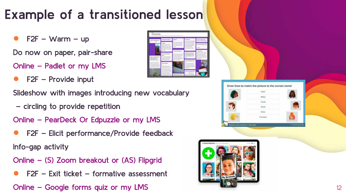## Example of a transitioned lesson

 $F2F - Warm - up$ 

Do now on paper, pair-share

Online – Padlet or my LMS

 $F2F -$  Provide input

Slideshow with images introducing new vocabulary

– circling to provide repetition

Online – PearDeck Or Edpuzzle or my LMS

 $F2F$  – Elicit performance/Provide feedback

Info-gap activity

- Online (S) Zoom breakout or (AS) Flipgrid
- $F2F Ex$ it ticket formative assessment

Online – Google forms quiz or my LMS 12

|                                 | our for City you was |  |
|---------------------------------|----------------------|--|
| ۰<br><b>BAKE</b>                | raith à còran is     |  |
|                                 | <b>HARASH</b>        |  |
|                                 |                      |  |
|                                 |                      |  |
| <b><i><u>Department</u></i></b> |                      |  |
|                                 |                      |  |
|                                 |                      |  |
|                                 |                      |  |
|                                 |                      |  |
|                                 |                      |  |



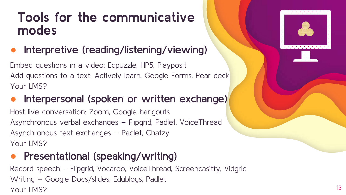### Tools for the communicative modes

#### Interpretive (reading/listening/viewing)

Embed questions in a video: Edpuzzle, HP5, Playposit Add questions to a text: Actively learn, Google Forms, Pear deck Your LMS?

#### Interpersonal (spoken or written exchange)

Host live conversation: Zoom, Google hangouts Asynchronous verbal exchanges – Flipgrid, Padlet, VoiceThread Asynchronous text exchanges – Padlet, Chatzy Your LMS?

#### Presentational (speaking/writing)

Record speech – Flipgrid, Vocaroo, VoiceThread, Screencasitfy, Vidgrid Writing – Google Docs/slides, Edublogs, Padlet Your LMS? 13



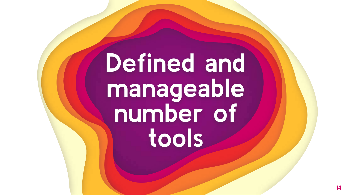## Defined and manageable number of tools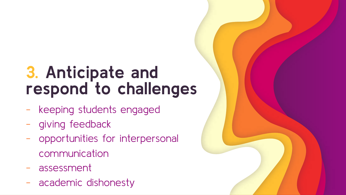## 3. Anticipate and respond to challenges

- keeping students engaged
- giving feedback
- opportunities for interpersonal communication
- assessment
- academic dishonesty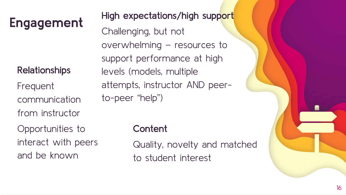#### Relationships

Frequent communication from instructor

Opportunities to interact with peers and be known

Engagement High expectations/high support Challenging, but not overwhelming – resources to support performance at high levels (models, multiple attempts, instructor AND peerto-peer "help")

#### **Content**

Quality, novelty and matched to student interest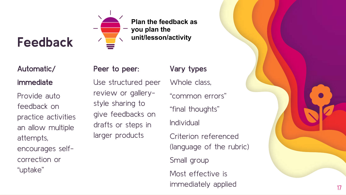## Feedback



#### Automatic/ immediate

Provide auto feedback on practice activities an allow multiple attempts, encourages self correction or "uptake"

#### Peer to peer:

#### Vary types

Use structured peer review or gallery style sharing to give feedbacks on drafts or steps in larger products

Whole class, "common errors" "final thoughts" Individual Criterion referenced

(language of the rubric) Small group Most effective is immediately applied 17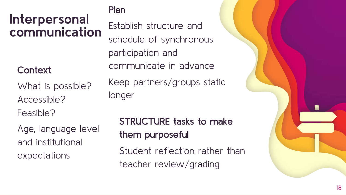### Interpersonal communication

#### **Context**

What is possible? Accessible?

Feasible?

Age, language level and institutional expectations

#### Plan

Establish structure and schedule of synchronous participation and communicate in advance Keep partners/groups static longer

### STRUCTURE tasks to make them purposeful

Student reflection rather than teacher review/grading

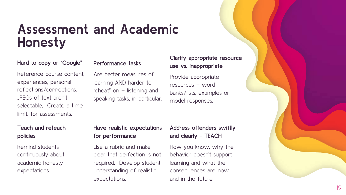### Assessment and Academic Honesty

#### Hard to copy or "Google"

#### Performance tasks

Are better measures of learning AND harder to "cheat" on – listening and speaking tasks, in particular.

Reference course content, experiences, personal reflections/connections. JPEGs of text aren't selectable, Create a time limit. for assessments.

#### . Teach and reteach policies

Remind students continuously about academic honesty expectations.

#### Have realistic expectations for performance

Use a rubric and make clear that perfection is not required. Develop student understanding of realistic expectations.

#### Address offenders swiftly and clearly - TEACH

Clarify appropriate resource

use vs. inappropriate

Provide appropriate resources – word

model responses.

banks/lists, examples or

How you know, why the behavior doesn't support learning and what the consequences are now and in the future.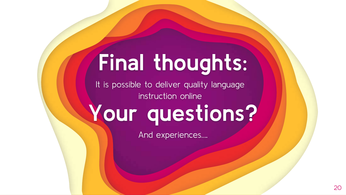## Final thoughts:

It is possible to deliver quality language instruction online

## Your questions?

And experiences….